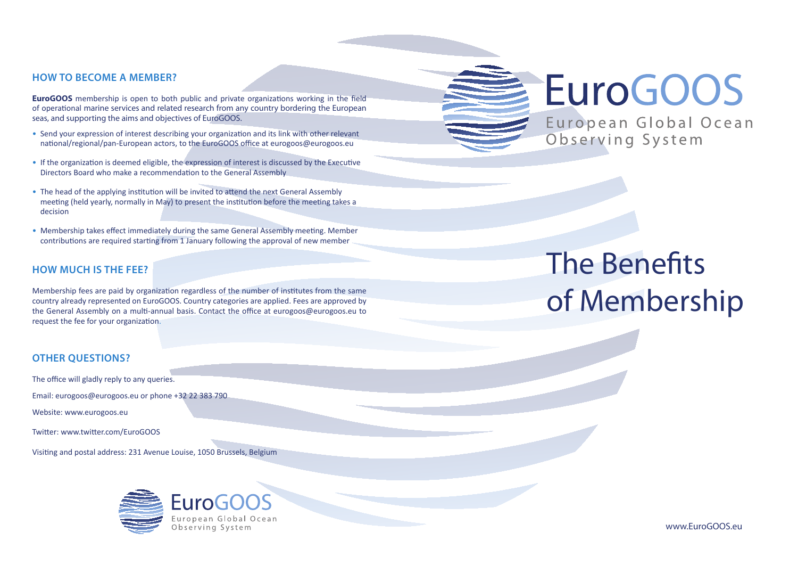#### **HOW TO BECOME A MEMBER?**

**EuroGOOS** membership is open to both public and private organizations working in the field of operational marine services and related research from any country bordering the European seas, and supporting the aims and objectives of EuroGOOS.

- Send your expression of interest describing your organization and its link with other relevant national/regional/pan-European actors, to the EuroGOOS office at eurogoos@eurogoos.eu
- If the organization is deemed eligible, the expression of interest is discussed by the Executive Directors Board who make a recommendation to the General Assembly
- The head of the applying institution will be invited to attend the next General Assembly meeting (held yearly, normally in May) to present the institution before the meeting takes a decision
- Membership takes effect immediately during the same General Assembly meeting. Member contributions are required starting from 1 January following the approval of new member

# **HOW MUCH IS THE FEE?**

Membership fees are paid by organization regardless of the number of institutes from the same country already represented on EuroGOOS. Country categories are applied. Fees are approved by the General Assembly on a multi-annual basis. Contact the office at eurogoos@eurogoos.eu to request the fee for your organization.

# **OTHER QUESTIONS?**

The office will gladly reply to any queries.

Email: eurogoos@eurogoos.eu or phone +32 22 383 790

Website: www.eurogoos.eu

Twitter: www.twitter.com/EuroGOOS

Visiting and postal address: 231 Avenue Louise, 1050 Brussels, Belgium





European Global Ocean Observing System

The Benefits of Membership

www.EuroGOOS.eu